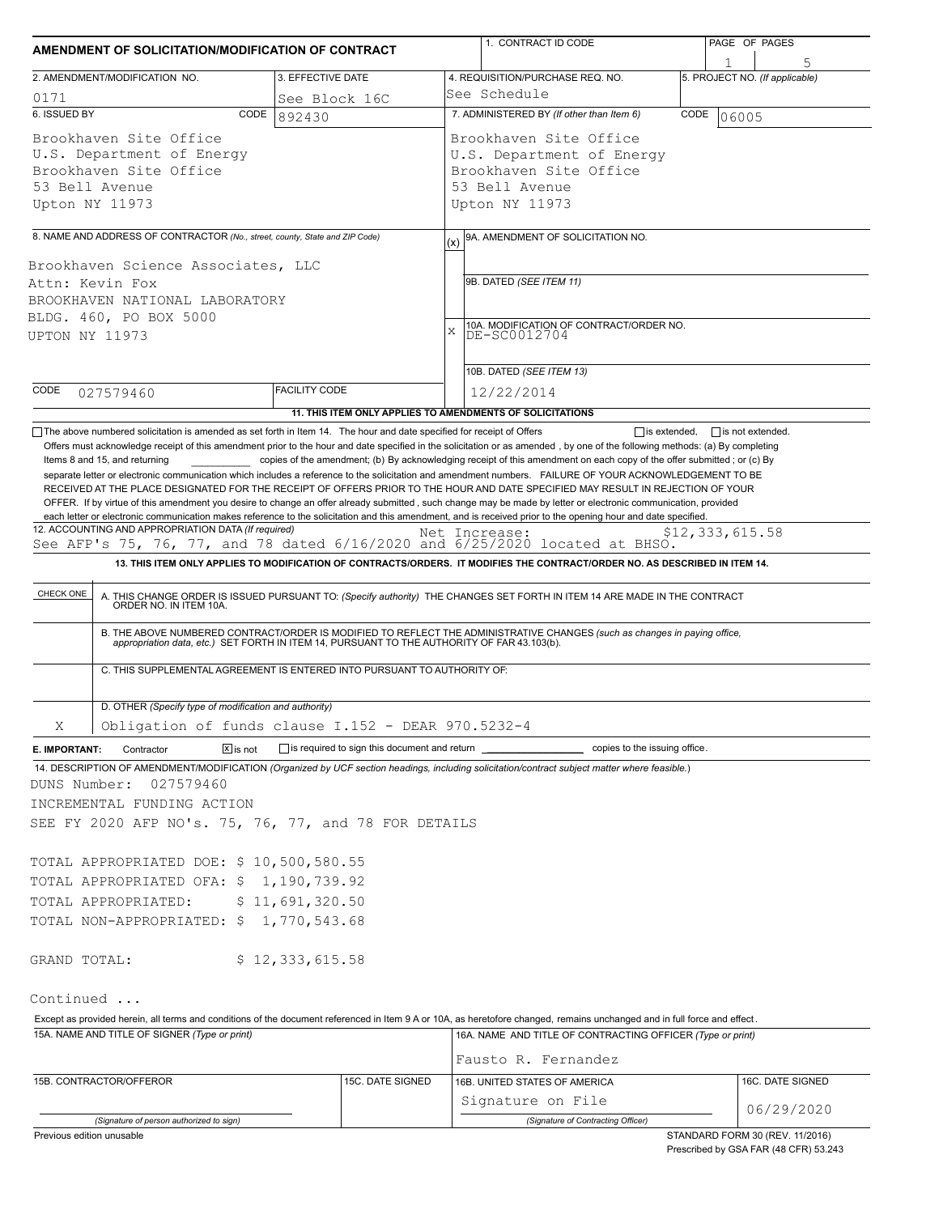| AMENDMENT OF SOLICITATION/MODIFICATION OF CONTRACT                                                                                                                                                                                                                                                                                                                                                                                                                                                                                                                                                                                                                                                                    | 1. CONTRACT ID CODE                                                                                                                 | PAGE OF PAGES                                                                                                                                                                                                                                                                                                                                                             |      |                                 |  |  |  |
|-----------------------------------------------------------------------------------------------------------------------------------------------------------------------------------------------------------------------------------------------------------------------------------------------------------------------------------------------------------------------------------------------------------------------------------------------------------------------------------------------------------------------------------------------------------------------------------------------------------------------------------------------------------------------------------------------------------------------|-------------------------------------------------------------------------------------------------------------------------------------|---------------------------------------------------------------------------------------------------------------------------------------------------------------------------------------------------------------------------------------------------------------------------------------------------------------------------------------------------------------------------|------|---------------------------------|--|--|--|
| 2. AMENDMENT/MODIFICATION NO.                                                                                                                                                                                                                                                                                                                                                                                                                                                                                                                                                                                                                                                                                         | 3. EFFECTIVE DATE                                                                                                                   | 4. REQUISITION/PURCHASE REQ. NO.                                                                                                                                                                                                                                                                                                                                          |      | 5. PROJECT NO. (If applicable)  |  |  |  |
| 0171                                                                                                                                                                                                                                                                                                                                                                                                                                                                                                                                                                                                                                                                                                                  | See Block 16C                                                                                                                       | See Schedule                                                                                                                                                                                                                                                                                                                                                              |      |                                 |  |  |  |
| 6. ISSUED BY<br>CODE                                                                                                                                                                                                                                                                                                                                                                                                                                                                                                                                                                                                                                                                                                  | 892430                                                                                                                              | 7. ADMINISTERED BY (If other than Item 6)                                                                                                                                                                                                                                                                                                                                 | CODE | 06005                           |  |  |  |
| Brookhaven Site Office<br>U.S. Department of Energy<br>Brookhaven Site Office<br>53 Bell Avenue<br>Upton NY 11973                                                                                                                                                                                                                                                                                                                                                                                                                                                                                                                                                                                                     | Brookhaven Site Office<br>U.S. Department of Energy<br>Brookhaven Site Office<br>53 Bell Avenue<br>Upton NY 11973                   |                                                                                                                                                                                                                                                                                                                                                                           |      |                                 |  |  |  |
| 8. NAME AND ADDRESS OF CONTRACTOR (No., street, county, State and ZIP Code)                                                                                                                                                                                                                                                                                                                                                                                                                                                                                                                                                                                                                                           |                                                                                                                                     |                                                                                                                                                                                                                                                                                                                                                                           |      |                                 |  |  |  |
| Brookhaven Science Associates, LLC<br>Attn: Kevin Fox<br>BROOKHAVEN NATIONAL LABORATORY<br>BLDG. 460, PO BOX 5000<br>UPTON NY 11973                                                                                                                                                                                                                                                                                                                                                                                                                                                                                                                                                                                   | 9A. AMENDMENT OF SOLICITATION NO.<br>(x)<br>9B. DATED (SEE ITEM 11)<br>10A. MODIFICATION OF CONTRACT/ORDER NO.<br>DE-SC0012704<br>X |                                                                                                                                                                                                                                                                                                                                                                           |      |                                 |  |  |  |
| CODE                                                                                                                                                                                                                                                                                                                                                                                                                                                                                                                                                                                                                                                                                                                  | <b>FACILITY CODE</b>                                                                                                                | 10B. DATED (SEE ITEM 13)<br>12/22/2014                                                                                                                                                                                                                                                                                                                                    |      |                                 |  |  |  |
| 027579460                                                                                                                                                                                                                                                                                                                                                                                                                                                                                                                                                                                                                                                                                                             |                                                                                                                                     | 11. THIS ITEM ONLY APPLIES TO AMENDMENTS OF SOLICITATIONS                                                                                                                                                                                                                                                                                                                 |      |                                 |  |  |  |
| Items 8 and 15, and returning<br>separate letter or electronic communication which includes a reference to the solicitation and amendment numbers. FAILURE OF YOUR ACKNOWLEDGEMENT TO BE<br>RECEIVED AT THE PLACE DESIGNATED FOR THE RECEIPT OF OFFERS PRIOR TO THE HOUR AND DATE SPECIFIED MAY RESULT IN REJECTION OF YOUR<br>OFFER. If by virtue of this amendment you desire to change an offer already submitted, such change may be made by letter or electronic communication, provided<br>each letter or electronic communication makes reference to the solicitation and this amendment, and is received prior to the opening hour and date specified.<br>12. ACCOUNTING AND APPROPRIATION DATA (If required) |                                                                                                                                     | copies of the amendment; (b) By acknowledging receipt of this amendment on each copy of the offer submitted; or (c) By<br>Net Increase:                                                                                                                                                                                                                                   |      | \$12,333,615.58                 |  |  |  |
| See AFP's 75, 76, 77, and 78 dated $6/16/2020$ and $6/25/2020$ located at BHSO.                                                                                                                                                                                                                                                                                                                                                                                                                                                                                                                                                                                                                                       |                                                                                                                                     |                                                                                                                                                                                                                                                                                                                                                                           |      |                                 |  |  |  |
| C. THIS SUPPLEMENTAL AGREEMENT IS ENTERED INTO PURSUANT TO AUTHORITY OF:                                                                                                                                                                                                                                                                                                                                                                                                                                                                                                                                                                                                                                              |                                                                                                                                     | A. THIS CHANGE ORDER IS ISSUED PURSUANT TO: (Specify authority) THE CHANGES SET FORTH IN ITEM 14 ARE MADE IN THE CONTRACT ORDER NO. IN ITEM 10A.<br>B. THE ABOVE NUMBERED CONTRACT/ORDER IS MODIFIED TO REFLECT THE ADMINISTRATIVE CHANGES (such as changes in paying office, appropriation data, etc.) SET FORTH IN ITEM 14, PURSUANT TO THE AUTHORITY OF FAR 43.103(b). |      |                                 |  |  |  |
| D. OTHER (Specify type of modification and authority)                                                                                                                                                                                                                                                                                                                                                                                                                                                                                                                                                                                                                                                                 |                                                                                                                                     |                                                                                                                                                                                                                                                                                                                                                                           |      |                                 |  |  |  |
| Obligation of funds clause I.152 - DEAR 970.5232-4<br>Χ                                                                                                                                                                                                                                                                                                                                                                                                                                                                                                                                                                                                                                                               |                                                                                                                                     |                                                                                                                                                                                                                                                                                                                                                                           |      |                                 |  |  |  |
| $\boxed{\mathsf{x}}$ is not<br>Contractor<br>E. IMPORTANT:                                                                                                                                                                                                                                                                                                                                                                                                                                                                                                                                                                                                                                                            |                                                                                                                                     | is required to sign this document and return ____________________________ copies to the issuing office.                                                                                                                                                                                                                                                                   |      |                                 |  |  |  |
| 14. DESCRIPTION OF AMENDMENT/MODIFICATION (Organized by UCF section headings, including solicitation/contract subject matter where feasible.)<br>DUNS Number:<br>027579460<br>INCREMENTAL FUNDING ACTION<br>SEE FY 2020 AFP NO's. 75, 76, 77, and 78 FOR DETAILS<br>TOTAL APPROPRIATED DOE: \$ 10,500,580.55                                                                                                                                                                                                                                                                                                                                                                                                          |                                                                                                                                     |                                                                                                                                                                                                                                                                                                                                                                           |      |                                 |  |  |  |
| TOTAL APPROPRIATED OFA: \$ 1,190,739.92                                                                                                                                                                                                                                                                                                                                                                                                                                                                                                                                                                                                                                                                               |                                                                                                                                     |                                                                                                                                                                                                                                                                                                                                                                           |      |                                 |  |  |  |
| TOTAL APPROPRIATED:                                                                                                                                                                                                                                                                                                                                                                                                                                                                                                                                                                                                                                                                                                   | \$11,691,320.50                                                                                                                     |                                                                                                                                                                                                                                                                                                                                                                           |      |                                 |  |  |  |
| TOTAL NON-APPROPRIATED: \$ 1,770,543.68                                                                                                                                                                                                                                                                                                                                                                                                                                                                                                                                                                                                                                                                               |                                                                                                                                     |                                                                                                                                                                                                                                                                                                                                                                           |      |                                 |  |  |  |
| GRAND TOTAL:                                                                                                                                                                                                                                                                                                                                                                                                                                                                                                                                                                                                                                                                                                          | \$12,333,615.58                                                                                                                     |                                                                                                                                                                                                                                                                                                                                                                           |      |                                 |  |  |  |
| Continued                                                                                                                                                                                                                                                                                                                                                                                                                                                                                                                                                                                                                                                                                                             |                                                                                                                                     |                                                                                                                                                                                                                                                                                                                                                                           |      |                                 |  |  |  |
| Except as provided herein, all terms and conditions of the document referenced in Item 9 A or 10A, as heretofore changed, remains unchanged and in full force and effect.<br>15A. NAME AND TITLE OF SIGNER (Type or print)                                                                                                                                                                                                                                                                                                                                                                                                                                                                                            |                                                                                                                                     | 16A. NAME AND TITLE OF CONTRACTING OFFICER (Type or print)<br>Fausto R. Fernandez                                                                                                                                                                                                                                                                                         |      |                                 |  |  |  |
| 15B. CONTRACTOR/OFFEROR                                                                                                                                                                                                                                                                                                                                                                                                                                                                                                                                                                                                                                                                                               | 15C. DATE SIGNED                                                                                                                    | 16B. UNITED STATES OF AMERICA                                                                                                                                                                                                                                                                                                                                             |      | 16C. DATE SIGNED                |  |  |  |
|                                                                                                                                                                                                                                                                                                                                                                                                                                                                                                                                                                                                                                                                                                                       |                                                                                                                                     | Signature on File                                                                                                                                                                                                                                                                                                                                                         |      | 06/29/2020                      |  |  |  |
| (Signature of person authorized to sign)<br>Previous edition unusable                                                                                                                                                                                                                                                                                                                                                                                                                                                                                                                                                                                                                                                 |                                                                                                                                     | (Signature of Contracting Officer)                                                                                                                                                                                                                                                                                                                                        |      | STANDARD FORM 30 (REV. 11/2016) |  |  |  |

STANDARD FORM 30 (REV. 11/2016) Prescribed by GSA FAR (48 CFR) 53.243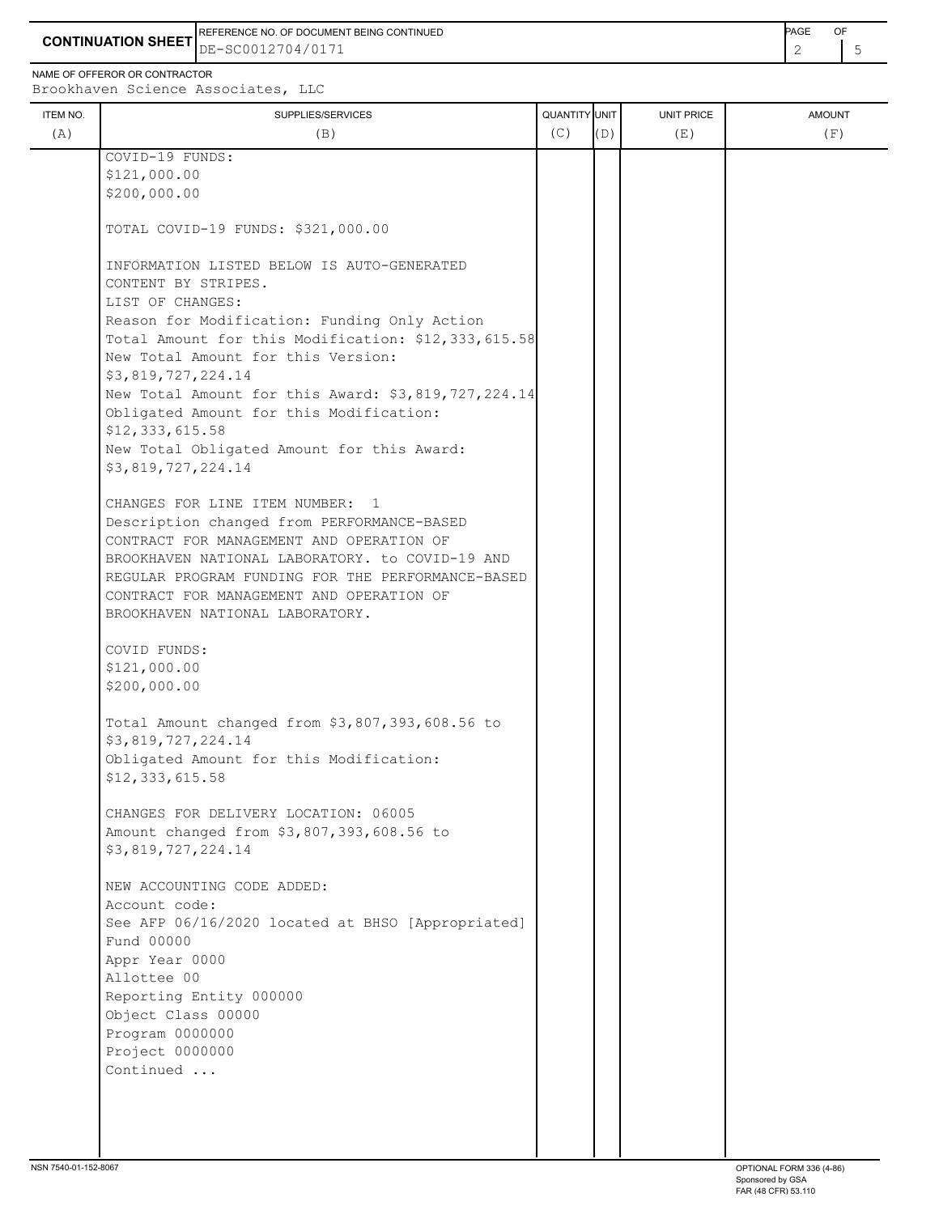**CONTINUATION SHEET** DE-SC0012704/0171 REFERENCE NO. OF DOCUMENT BEING CONTINUED **A CONTINUED PAGE OF PAGE OF PAGE OF PAGE** 

NAME OF OFFEROR OR CONTRACTOR

ITEM NO. ┃ SUPPLIES/SERVICES UNIT PRICE AMOUNT Brookhaven Science Associates, LLC (A)  $(B)$  (B)  $(C)$   $(D)$  (E)  $(E)$  (F) COVID-19 FUNDS: \$121,000.00 \$200,000.00 TOTAL COVID-19 FUNDS: \$321,000.00 INFORMATION LISTED BELOW IS AUTO-GENERATED CONTENT BY STRIPES. LIST OF CHANGES: Reason for Modification: Funding Only Action Total Amount for this Modification: \$12,333,615.58 New Total Amount for this Version: \$3,819,727,224.14 New Total Amount for this Award: \$3,819,727,224.14 Obligated Amount for this Modification: \$12,333,615.58 New Total Obligated Amount for this Award: \$3,819,727,224.14 CHANGES FOR LINE ITEM NUMBER: 1 Description changed from PERFORMANCE-BASED CONTRACT FOR MANAGEMENT AND OPERATION OF

 BROOKHAVEN NATIONAL LABORATORY. to COVID-19 AND REGULAR PROGRAM FUNDING FOR THE PERFORMANCE-BASED

Total Amount changed from \$3,807,393,608.56 to

See AFP 06/16/2020 located at BHSO [Appropriated]

CONTRACT FOR MANAGEMENT AND OPERATION OF

Obligated Amount for this Modification:

 CHANGES FOR DELIVERY LOCATION: 06005 Amount changed from \$3,807,393,608.56 to

BROOKHAVEN NATIONAL LABORATORY.

 COVID FUNDS: \$121,000.00 \$200,000.00

\$3,819,727,224.14

\$3,819,727,224.14

Account code:

 Fund 00000 Appr Year 0000 Allottee 00

NEW ACCOUNTING CODE ADDED:

 Reporting Entity 000000 Object Class 00000 Program 0000000 Project 0000000 Continued ...

\$12,333,615.58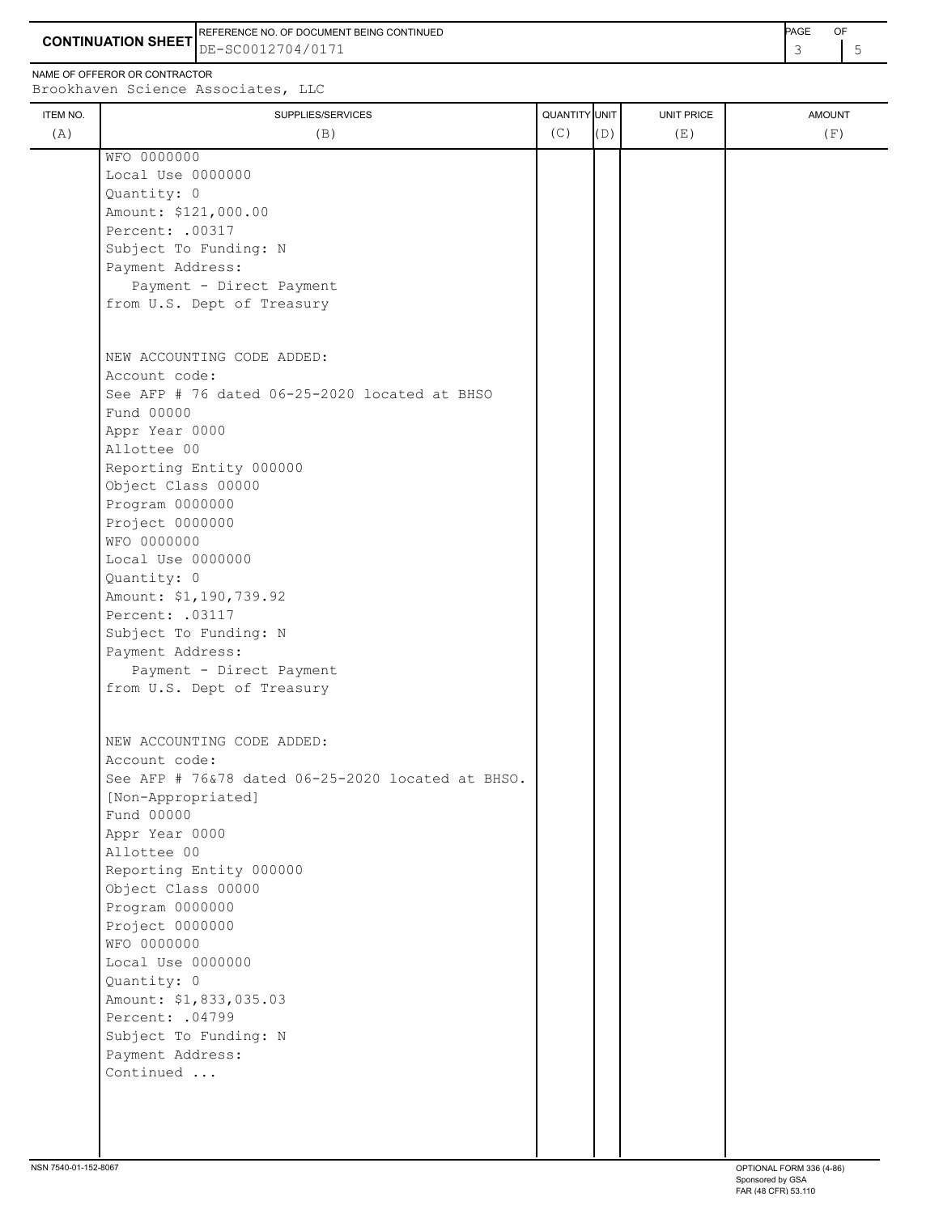**CONTINUATION SHEET** DE-SC0012704/0171 REFERENCE NO. OF DOCUMENT BEING CONTINUED **AGE ACCUMENT ACCUMENT OF A CONTINUED** 

NAME OF OFFEROR OR CONTRACTOR Brookh

| IAIIL VI VI I LIVUN VIN GUNTIVAGTUN<br>Brookhaven Science Associates, LLC |                          |                             |     |                   |                      |  |  |
|---------------------------------------------------------------------------|--------------------------|-----------------------------|-----|-------------------|----------------------|--|--|
| ITEM NO.<br>(A)                                                           | SUPPLIES/SERVICES<br>(B) | <b>QUANTITY UNIT</b><br>(C) | (D) | UNIT PRICE<br>(E) | <b>AMOUNT</b><br>(F) |  |  |
|                                                                           | WFO 0000000              |                             |     |                   |                      |  |  |
|                                                                           | Local Use 0000000        |                             |     |                   |                      |  |  |
|                                                                           | Quantity: 0              |                             |     |                   |                      |  |  |
|                                                                           | Amount: \$121,000.00     |                             |     |                   |                      |  |  |
|                                                                           | Percent: .00317          |                             |     |                   |                      |  |  |
|                                                                           | Subject To Funding: N    |                             |     |                   |                      |  |  |

| nm lerr to tamating. M                                  |  |  |
|---------------------------------------------------------|--|--|
| Payment Address:                                        |  |  |
| Payment - Direct Payment                                |  |  |
| from U.S. Dept of Treasury                              |  |  |
|                                                         |  |  |
|                                                         |  |  |
| NEW ACCOUNTING CODE ADDED:                              |  |  |
| Account code:                                           |  |  |
| See AFP # 76 dated 06-25-2020 located at BHSO           |  |  |
| Fund 00000                                              |  |  |
| Appr Year 0000                                          |  |  |
| Allottee 00                                             |  |  |
| Reporting Entity 000000                                 |  |  |
| Object Class 00000                                      |  |  |
| Program 0000000                                         |  |  |
| Project 0000000                                         |  |  |
| WFO 0000000                                             |  |  |
| Local Use 0000000                                       |  |  |
| Quantity: 0                                             |  |  |
| Amount: \$1,190,739.92                                  |  |  |
| Percent: . 03117                                        |  |  |
| Subject To Funding: N                                   |  |  |
| Payment Address:                                        |  |  |
| Payment - Direct Payment                                |  |  |
| from U.S. Dept of Treasury                              |  |  |
|                                                         |  |  |
| NEW ACCOUNTING CODE ADDED:                              |  |  |
| Account code:                                           |  |  |
| See AFP # $76\,378$ dated $06-25-2020$ located at BHSO. |  |  |
| [Non-Appropriated]                                      |  |  |
| Fund 00000                                              |  |  |
| Appr Year 0000                                          |  |  |
| Allottee 00                                             |  |  |
|                                                         |  |  |
| Reporting Entity 000000                                 |  |  |
| Object Class 00000                                      |  |  |
| Program 0000000                                         |  |  |
| Project 0000000                                         |  |  |
| WFO 0000000                                             |  |  |
| Local Use 0000000                                       |  |  |
| Quantity: 0                                             |  |  |
| Amount: \$1,833,035.03                                  |  |  |
| Percent: .04799                                         |  |  |
| Subject To Funding: N                                   |  |  |

 Payment Address: Continued ...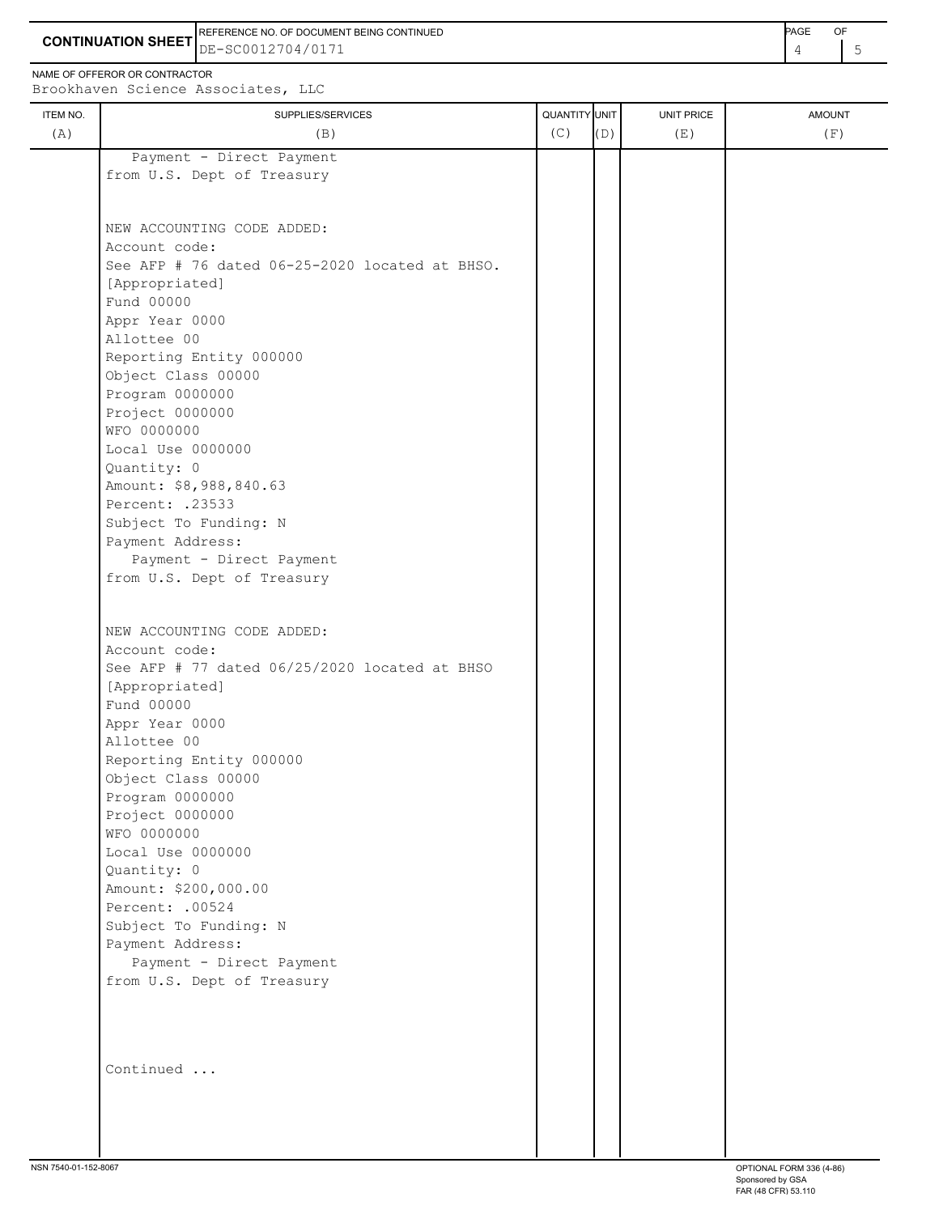**CONTINUATION SHEET** DE-SC0012704/0171 REFERENCE NO. OF DOCUMENT BEING CONTINUED **AGE ACCUMENT ACCUMENT OF A CONTINUED** 

NAME OF OFFEROR OR CONTRACTOR

÷,

| ITEM NO. | SUPPLIES/SERVICES                              | QUANTITY UNIT |     | UNIT PRICE | <b>AMOUNT</b> |
|----------|------------------------------------------------|---------------|-----|------------|---------------|
| (A)      | (B)                                            | (C)           | (D) | (E)        | (F)           |
|          | Payment - Direct Payment                       |               |     |            |               |
|          | from U.S. Dept of Treasury                     |               |     |            |               |
|          |                                                |               |     |            |               |
|          |                                                |               |     |            |               |
|          | NEW ACCOUNTING CODE ADDED:                     |               |     |            |               |
|          | Account code:                                  |               |     |            |               |
|          | See AFP # 76 dated 06-25-2020 located at BHSO. |               |     |            |               |
|          | [Appropriated]<br>Fund 00000                   |               |     |            |               |
|          |                                                |               |     |            |               |
|          | Appr Year 0000<br>Allottee 00                  |               |     |            |               |
|          | Reporting Entity 000000                        |               |     |            |               |
|          | Object Class 00000                             |               |     |            |               |
|          | Program 0000000                                |               |     |            |               |
|          | Project 0000000                                |               |     |            |               |
|          | WFO 0000000                                    |               |     |            |               |
|          | Local Use 0000000                              |               |     |            |               |
|          | Quantity: 0                                    |               |     |            |               |
|          | Amount: \$8,988,840.63                         |               |     |            |               |
|          | Percent: .23533                                |               |     |            |               |
|          |                                                |               |     |            |               |
|          | Subject To Funding: N                          |               |     |            |               |
|          | Payment Address:<br>Payment - Direct Payment   |               |     |            |               |
|          | from U.S. Dept of Treasury                     |               |     |            |               |
|          |                                                |               |     |            |               |
|          |                                                |               |     |            |               |
|          | NEW ACCOUNTING CODE ADDED:                     |               |     |            |               |
|          | Account code:                                  |               |     |            |               |
|          | See AFP # 77 dated 06/25/2020 located at BHSO  |               |     |            |               |
|          | [Appropriated]                                 |               |     |            |               |
|          | Fund 00000                                     |               |     |            |               |
|          | Appr Year 0000                                 |               |     |            |               |
|          | Allottee 00                                    |               |     |            |               |
|          | Reporting Entity 000000                        |               |     |            |               |
|          | Object Class 00000                             |               |     |            |               |
|          | Program 0000000                                |               |     |            |               |
|          | Project 0000000                                |               |     |            |               |
|          | WFO 0000000                                    |               |     |            |               |
|          | Local Use 0000000                              |               |     |            |               |
|          | Quantity: 0                                    |               |     |            |               |
|          | Amount: \$200,000.00                           |               |     |            |               |
|          | Percent: .00524                                |               |     |            |               |
|          | Subject To Funding: N                          |               |     |            |               |
|          | Payment Address:                               |               |     |            |               |
|          | Payment - Direct Payment                       |               |     |            |               |
|          | from U.S. Dept of Treasury                     |               |     |            |               |
|          |                                                |               |     |            |               |
|          |                                                |               |     |            |               |
|          | Continued                                      |               |     |            |               |
|          |                                                |               |     |            |               |
|          |                                                |               |     |            |               |
|          |                                                |               |     |            |               |
|          |                                                |               |     |            |               |